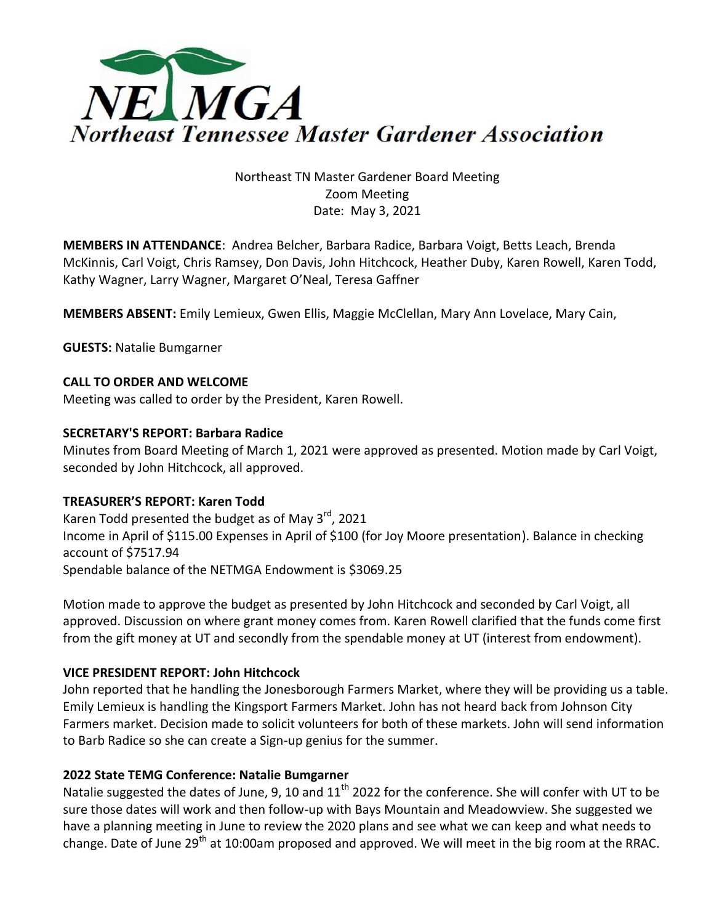

# Northeast TN Master Gardener Board Meeting Zoom Meeting Date: May 3, 2021

**MEMBERS IN ATTENDANCE**: Andrea Belcher, Barbara Radice, Barbara Voigt, Betts Leach, Brenda McKinnis, Carl Voigt, Chris Ramsey, Don Davis, John Hitchcock, Heather Duby, Karen Rowell, Karen Todd, Kathy Wagner, Larry Wagner, Margaret O'Neal, Teresa Gaffner

**MEMBERS ABSENT:** Emily Lemieux, Gwen Ellis, Maggie McClellan, Mary Ann Lovelace, Mary Cain,

**GUESTS:** Natalie Bumgarner

## **CALL TO ORDER AND WELCOME**

Meeting was called to order by the President, Karen Rowell.

#### **SECRETARY'S REPORT: Barbara Radice**

Minutes from Board Meeting of March 1, 2021 were approved as presented. Motion made by Carl Voigt, seconded by John Hitchcock, all approved.

## **TREASURER'S REPORT: Karen Todd**

Karen Todd presented the budget as of May  $3<sup>rd</sup>$ , 2021 Income in April of \$115.00 Expenses in April of \$100 (for Joy Moore presentation). Balance in checking account of \$7517.94 Spendable balance of the NETMGA Endowment is \$3069.25

Motion made to approve the budget as presented by John Hitchcock and seconded by Carl Voigt, all approved. Discussion on where grant money comes from. Karen Rowell clarified that the funds come first from the gift money at UT and secondly from the spendable money at UT (interest from endowment).

## **VICE PRESIDENT REPORT: John Hitchcock**

John reported that he handling the Jonesborough Farmers Market, where they will be providing us a table. Emily Lemieux is handling the Kingsport Farmers Market. John has not heard back from Johnson City Farmers market. Decision made to solicit volunteers for both of these markets. John will send information to Barb Radice so she can create a Sign-up genius for the summer.

#### **2022 State TEMG Conference: Natalie Bumgarner**

Natalie suggested the dates of June, 9, 10 and  $11<sup>th</sup>$  2022 for the conference. She will confer with UT to be sure those dates will work and then follow-up with Bays Mountain and Meadowview. She suggested we have a planning meeting in June to review the 2020 plans and see what we can keep and what needs to change. Date of June 29<sup>th</sup> at 10:00am proposed and approved. We will meet in the big room at the RRAC.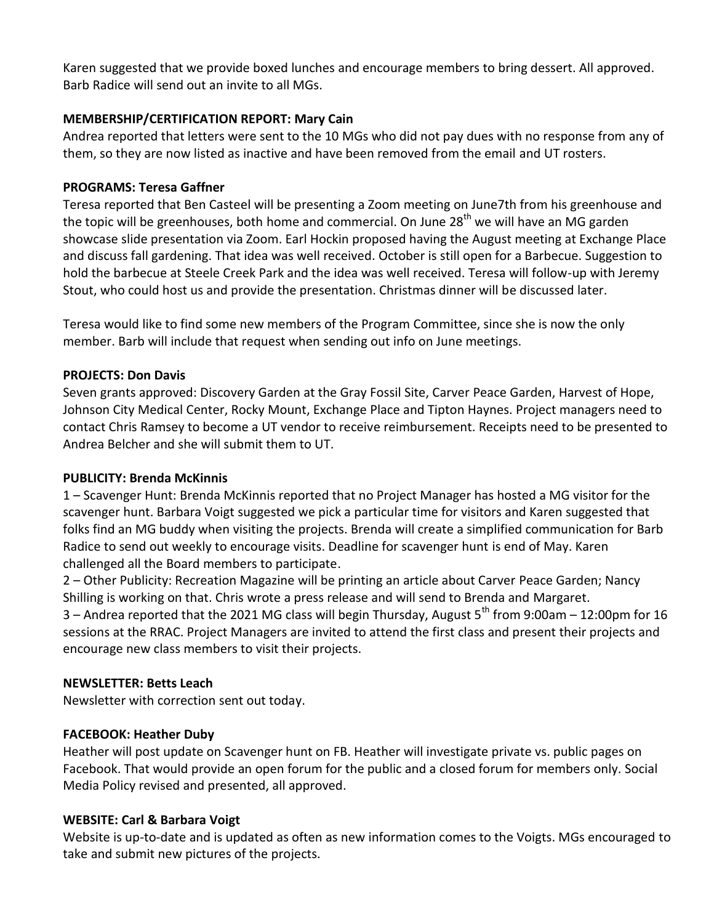Karen suggested that we provide boxed lunches and encourage members to bring dessert. All approved. Barb Radice will send out an invite to all MGs.

# **MEMBERSHIP/CERTIFICATION REPORT: Mary Cain**

Andrea reported that letters were sent to the 10 MGs who did not pay dues with no response from any of them, so they are now listed as inactive and have been removed from the email and UT rosters.

# **PROGRAMS: Teresa Gaffner**

Teresa reported that Ben Casteel will be presenting a Zoom meeting on June7th from his greenhouse and the topic will be greenhouses, both home and commercial. On June 28<sup>th</sup> we will have an MG garden showcase slide presentation via Zoom. Earl Hockin proposed having the August meeting at Exchange Place and discuss fall gardening. That idea was well received. October is still open for a Barbecue. Suggestion to hold the barbecue at Steele Creek Park and the idea was well received. Teresa will follow-up with Jeremy Stout, who could host us and provide the presentation. Christmas dinner will be discussed later.

Teresa would like to find some new members of the Program Committee, since she is now the only member. Barb will include that request when sending out info on June meetings.

## **PROJECTS: Don Davis**

Seven grants approved: Discovery Garden at the Gray Fossil Site, Carver Peace Garden, Harvest of Hope, Johnson City Medical Center, Rocky Mount, Exchange Place and Tipton Haynes. Project managers need to contact Chris Ramsey to become a UT vendor to receive reimbursement. Receipts need to be presented to Andrea Belcher and she will submit them to UT.

## **PUBLICITY: Brenda McKinnis**

1 – Scavenger Hunt: Brenda McKinnis reported that no Project Manager has hosted a MG visitor for the scavenger hunt. Barbara Voigt suggested we pick a particular time for visitors and Karen suggested that folks find an MG buddy when visiting the projects. Brenda will create a simplified communication for Barb Radice to send out weekly to encourage visits. Deadline for scavenger hunt is end of May. Karen challenged all the Board members to participate.

2 – Other Publicity: Recreation Magazine will be printing an article about Carver Peace Garden; Nancy Shilling is working on that. Chris wrote a press release and will send to Brenda and Margaret. 3 – Andrea reported that the 2021 MG class will begin Thursday, August 5<sup>th</sup> from 9:00am – 12:00pm for 16 sessions at the RRAC. Project Managers are invited to attend the first class and present their projects and encourage new class members to visit their projects.

## **NEWSLETTER: Betts Leach**

Newsletter with correction sent out today.

## **FACEBOOK: Heather Duby**

Heather will post update on Scavenger hunt on FB. Heather will investigate private vs. public pages on Facebook. That would provide an open forum for the public and a closed forum for members only. Social Media Policy revised and presented, all approved.

## **WEBSITE: Carl & Barbara Voigt**

Website is up-to-date and is updated as often as new information comes to the Voigts. MGs encouraged to take and submit new pictures of the projects.